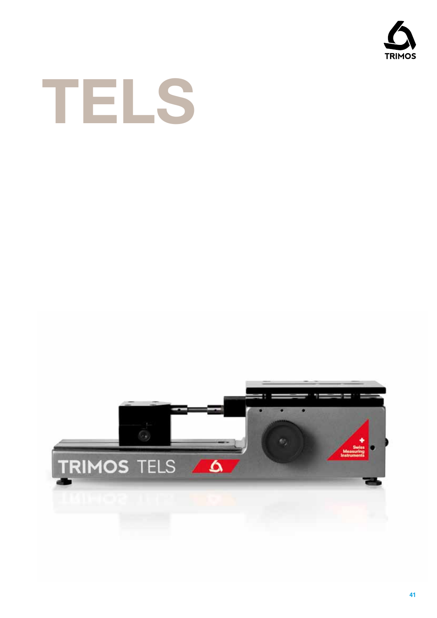



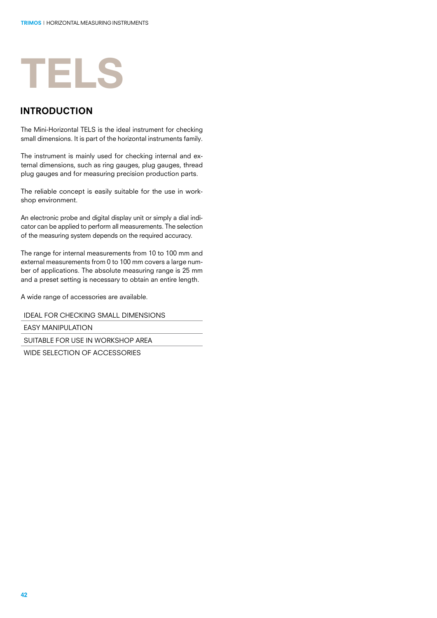## **TELS**

#### **INTRODUCTION**

The Mini-Horizontal TELS is the ideal instrument for checking small dimensions. It is part of the horizontal instruments family.

The instrument is mainly used for checking internal and external dimensions, such as ring gauges, plug gauges, thread plug gauges and for measuring precision production parts.

The reliable concept is easily suitable for the use in workshop environment.

An electronic probe and digital display unit or simply a dial indicator can be applied to perform all measurements. The selection of the measuring system depends on the required accuracy.

The range for internal measurements from 10 to 100 mm and external measurements from 0 to 100 mm covers a large number of applications. The absolute measuring range is 25 mm and a preset setting is necessary to obtain an entire length.

A wide range of accessories are available.

IDEAL FOR CHECKING SMALL DIMENSIONS

**FASY MANIPULATION** 

SUITABLE FOR USE IN WORKSHOP AREA

WIDE SELECTION OF ACCESSORIES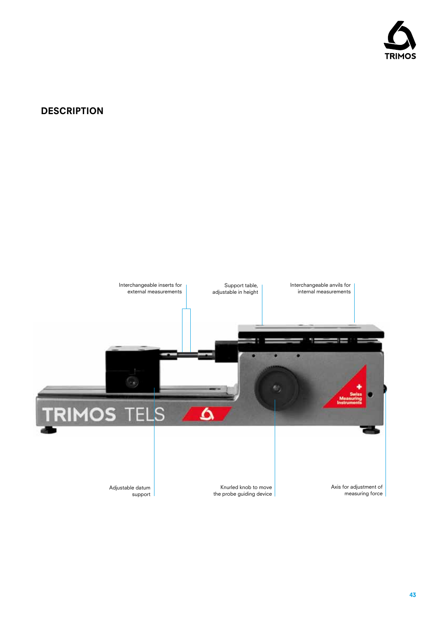

#### **DESCRIPTION**

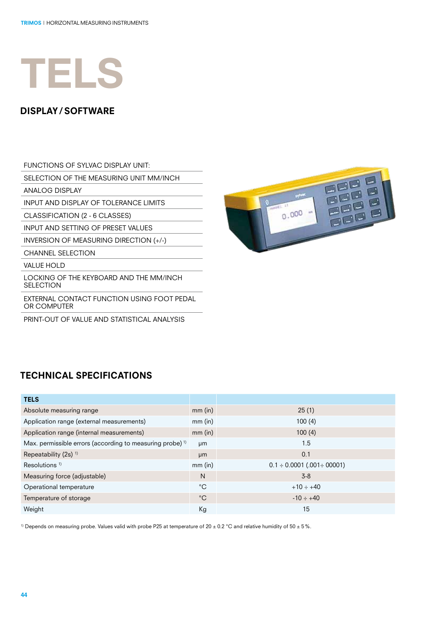## **TELS**

#### display/ software

FUNCTIONS OF SYLVAC DISPLAY UNIT:

SELECTION OF THE MEASURING UNIT MM/INCH

ANALOG DISPLAY

INPUT AND DISPLAY OF TOLERANCE LIMITS

CLASSIFICATION (2 - 6 CLASSES)

INPUT AND SETTING OF PRESET VALUES

INVERSION OF MEASURING DIRECTION (+/-)

CHANNEL SELECTION

VALUE HOLD

LOCKING OF THE KEYBOARD AND THE MM/INCH **SELECTION** 

EXTERNAL CONTACT FUNCTION USING FOOT PEDAL OR COMPUTER

PRINT-OUT OF VALUE AND STATISTICAL ANALYSIS



## technical specifications

| <b>TELS</b>                                                          |             |                                        |
|----------------------------------------------------------------------|-------------|----------------------------------------|
| Absolute measuring range                                             | $mm$ (in)   | 25(1)                                  |
| Application range (external measurements)                            | $mm$ (in)   | 100(4)                                 |
| Application range (internal measurements)                            | $mm$ (in)   | 100(4)                                 |
| Max. permissible errors (according to measuring probe) <sup>1)</sup> | µm          | 1.5                                    |
| Repeatability (2s) <sup>1)</sup>                                     | µm          | 0.1                                    |
| Resolutions <sup>1)</sup>                                            | $mm$ (in)   | $0.1 \div 0.0001$ (.001 $\div 00001$ ) |
| Measuring force (adjustable)                                         | N           | $3-8$                                  |
| Operational temperature                                              | $^{\circ}C$ | $+10 \div +40$                         |
| Temperature of storage                                               | $^{\circ}C$ | $-10 \div +40$                         |
| Weight                                                               | Кg          | 15                                     |

<sup>1)</sup> Depends on measuring probe. Values valid with probe P25 at temperature of 20  $\pm$  0.2 °C and relative humidity of 50  $\pm$  5%.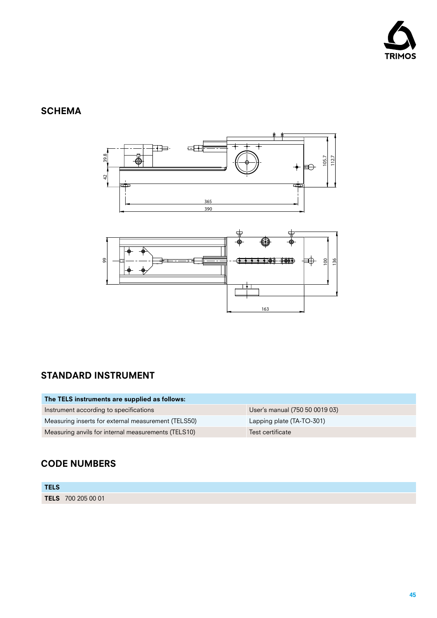

### **SCHEMA**





### standard instrument

| The TELS instruments are supplied as follows:       |                                |
|-----------------------------------------------------|--------------------------------|
| Instrument according to specifications              | User's manual (750 50 0019 03) |
| Measuring inserts for external measurement (TELS50) | Lapping plate (TA-TO-301)      |
| Measuring anvils for internal measurements (TELS10) | Test certificate               |

### CODE NUMBERs

| <b>TELS</b> |                    |
|-------------|--------------------|
|             | TELS 700 205 00 01 |